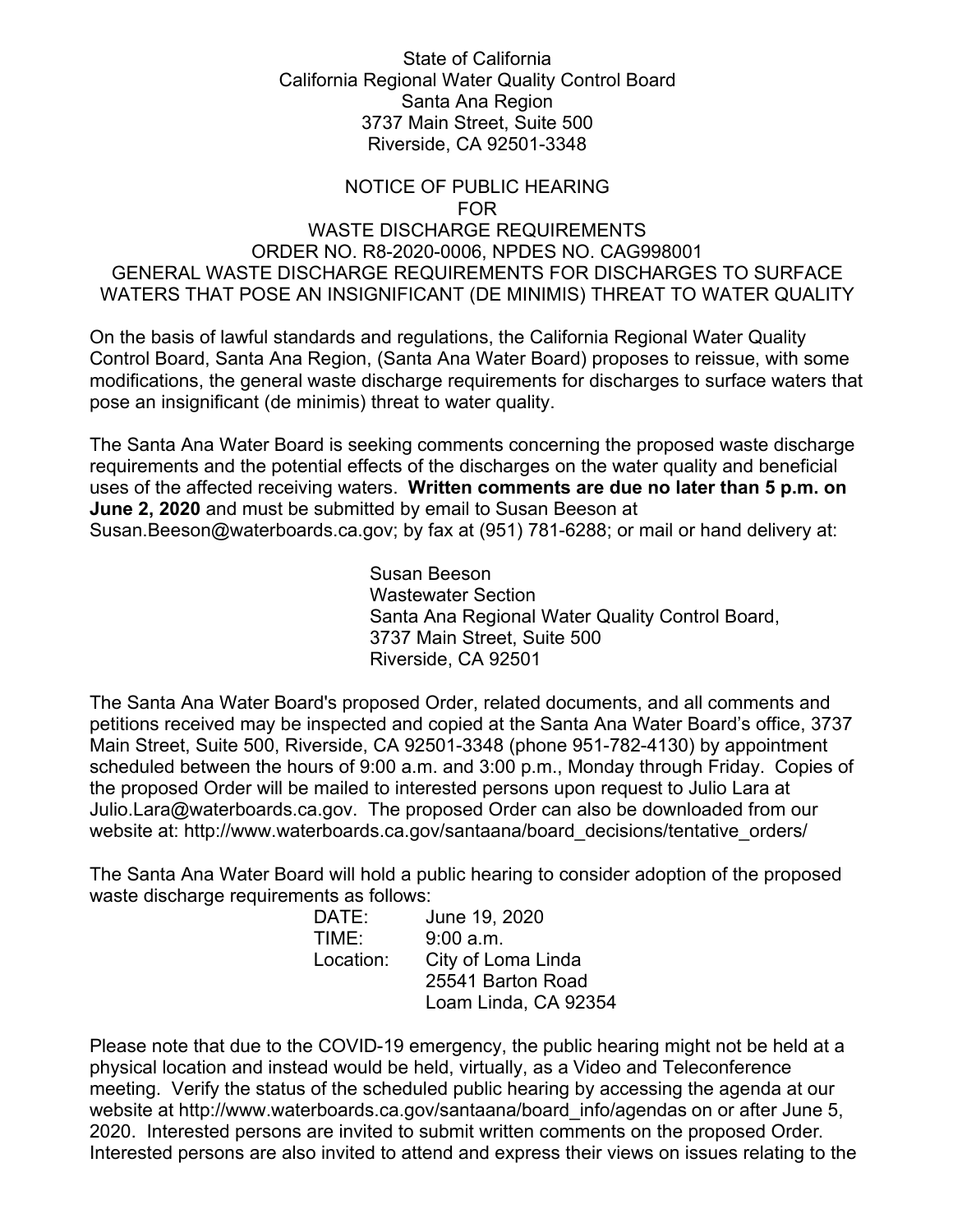## State of California California Regional Water Quality Control Board Santa Ana Region 3737 Main Street, Suite 500 Riverside, CA 92501-3348

## NOTICE OF PUBLIC HEARING

## FOR WASTE DISCHARGE REQUIREMENTS

## ORDER NO. R8-2020-0006, NPDES NO. CAG998001 GENERAL WASTE DISCHARGE REQUIREMENTS FOR DISCHARGES TO SURFACE WATERS THAT POSE AN INSIGNIFICANT (DE MINIMIS) THREAT TO WATER QUALITY

On the basis of lawful standards and regulations, the California Regional Water Quality Control Board, Santa Ana Region, (Santa Ana Water Board) proposes to reissue, with some modifications, the general waste discharge requirements for discharges to surface waters that pose an insignificant (de minimis) threat to water quality.

The Santa Ana Water Board is seeking comments concerning the proposed waste discharge requirements and the potential effects of the discharges on the water quality and beneficial uses of the affected receiving waters. **Written comments are due no later than 5 p.m. on June 2, 2020** and must be submitted by email to Susan Beeson at Susan.Beeson[@waterboards.ca.gov](mailto:Ryan.Harris@waterboards.ca.gov); by fax at (951) 781-6288; or mail or hand delivery at:

> Susan Beeson Wastewater Section Santa Ana Regional Water Quality Control Board, 3737 Main Street, Suite 500 Riverside, CA 92501

The Santa Ana Water Board's proposed Order, related documents, and all comments and petitions received may be inspected and copied at the Santa Ana Water Board's office, 3737 Main Street, Suite 500, Riverside, CA 92501-3348 (phone 951-782-4130) by appointment scheduled between the hours of 9:00 a.m. and 3:00 p.m., Monday through Friday. Copies of the proposed Order will be mailed to interested persons upon request to Julio Lara at Julio.Lara[@waterboards.ca.gov](mailto:Najah.Amin@waterboards.ca.gov). The proposed Order can also be downloaded from our website at: [http://www.waterboards.ca.gov/santaana/board\\_decisions/tentative\\_orders/](http://www.waterboards.ca.gov/santaana/board_decisions/tentative_orders/)

The Santa Ana Water Board will hold a public hearing to consider adoption of the proposed waste discharge requirements as follows:

| DATE:     | June 19, 2020        |
|-----------|----------------------|
| TIME:     | 9:00 a.m.            |
| Location: | City of Loma Linda   |
|           | 25541 Barton Road    |
|           | Loam Linda, CA 92354 |
|           |                      |

Please note that due to the COVID-19 emergency, the public hearing might not be held at a physical location and instead would be held, virtually, as a Video and Teleconference meeting. Verify the status of the scheduled public hearing by accessing the agenda at our website at http://www.waterboards.ca.gov/santaana/board info/agendas on or after June 5, 2020. Interested persons are invited to submit written comments on the proposed Order. Interested persons are also invited to attend and express their views on issues relating to the